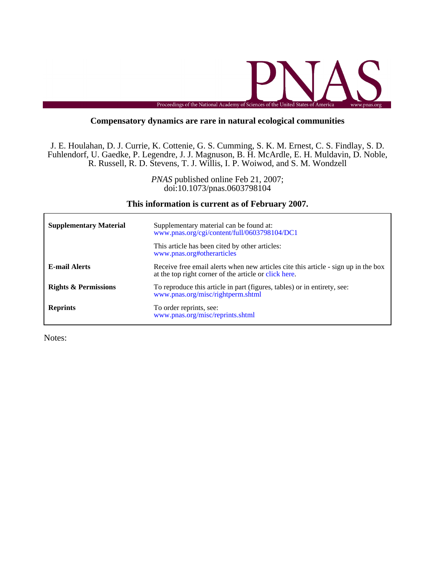

# **Compensatory dynamics are rare in natural ecological communities**

R. Russell, R. D. Stevens, T. J. Willis, I. P. Woiwod, and S. M. Wondzell Fuhlendorf, U. Gaedke, P. Legendre, J. J. Magnuson, B. H. McArdle, E. H. Muldavin, D. Noble, J. E. Houlahan, D. J. Currie, K. Cottenie, G. S. Cumming, S. K. M. Ernest, C. S. Findlay, S. D.

> doi:10.1073/pnas.0603798104 *PNAS* published online Feb 21, 2007;

**This information is current as of February 2007.**

| <b>Supplementary Material</b>   | Supplementary material can be found at:<br>www.pnas.org/cgi/content/full/0603798104/DC1<br>This article has been cited by other articles:<br>www.pnas.org#otherarticles |
|---------------------------------|-------------------------------------------------------------------------------------------------------------------------------------------------------------------------|
| <b>E-mail Alerts</b>            | Receive free email alerts when new articles cite this article - sign up in the box<br>at the top right corner of the article or click here.                             |
| <b>Rights &amp; Permissions</b> | To reproduce this article in part (figures, tables) or in entirety, see:<br>www.pnas.org/misc/rightperm.shtml                                                           |
| <b>Reprints</b>                 | To order reprints, see:<br>www.pnas.org/misc/reprints.shtml                                                                                                             |

Notes:

г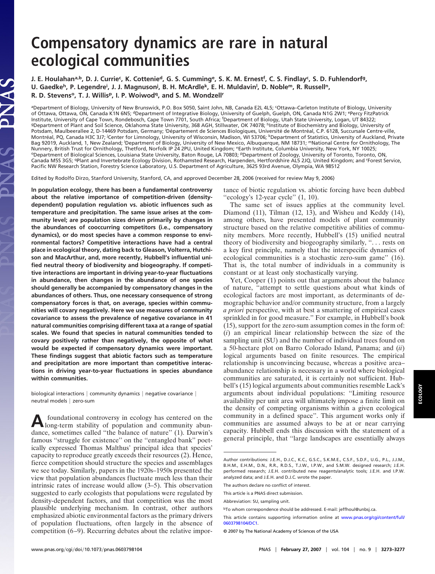# **Compensatory dynamics are rare in natural ecological communities**

 ${\sf J.}$  E. Houlahan<sup>a,b</sup>, D. J. Currie<sup>c</sup>, K. Cottenie<sup>d</sup>, G. S. Cumming<sup>e</sup>, S. K. M. Ernest<sup>f</sup>, C. S. Findlay<sup>c</sup>, S. D. Fuhlendorf<sup>g</sup>, U. Gaedke<sup>h</sup>, P. Legendre<sup>i</sup>, J. J. Magnuson<sup>j</sup>, B. H. McArdle<sup>k</sup>, E. H. Muldavin<sup>i</sup>, D. Noble<sup>m</sup>, R. Russell<sup>n</sup>, R. D. Stevens<sup>o</sup>, T. J. Willis<sup>p</sup>, I. P. Woiwod<sup>q</sup>, and S. M. Wondzell<sup>r</sup>

ªDepartment of Biology, University of New Brunswick, P.O. Box 5050, Saint John, NB, Canada E2L 4L5; 'Ottawa–Carleton Institute of Biology, University<br>of Ottawa, Ottawa, ON, Canada K1N 6N5; <sup>d</sup>Department of Integrative Biol Institute, University of Cape Town, Rondebosch, Cape Town 7701, South Africa; <sup>f</sup>Department of Biology, Utah State University, Logan, UT 84322;<br>ºDepartment of Plant and Soil Science, Oklahoma State University, 368 AGH, Sti Potsdam, Maulbeerallee 2, D-14469 Potsdam, Germany; <sup>i</sup>Département de Sciences Biologiques, Université de Montréal, C.P. 6128, Succursale Centre-ville, Montréal, PQ, Canada H3C 3J7; <sup>j</sup>Center for Limnology, University of Wisconsin, Madison, WI 53706; <sup>k</sup>Department of Statistics, University of Auckland, Private Bag 92019, Auckland, 1, New Zealand; <sup>I</sup>Department of Biology, University of New Mexico, Albuquerque, NM 18731; <sup>m</sup>National Centre for Ornithology, The Nunnery, British Trust for Ornithology, Thetford, Norfolk IP 24 2PU, United Kingdom; "Earth Institute, Columbia University, New York, NY 10025; oDepartment of Biological Sciences, Louisiana State University, Baton Rouge, LA 70803; pDepartment of Zoology, University of Toronto, Toronto, ON, Canada M5S 3G5; <sup>qp</sup>lant and Invertebrate Ecology Division, Rothamsted Research, Harpenden, Hertfordshire AL5 2JQ, United Kingdom; and <sup>r</sup>Forest Service, Pacific NW Research Station, Forestry Science Laboratory, U.S. Department of Agriculture, 3625 93rd Avenue, Olympia, WA 98512

Edited by Rodolfo Dirzo, Stanford University, Stanford, CA, and approved December 28, 2006 (received for review May 9, 2006)

**In population ecology, there has been a fundamental controversy about the relative importance of competition-driven (densitydependent) population regulation vs. abiotic influences such as temperature and precipitation. The same issue arises at the community level; are population sizes driven primarily by changes in the abundances of cooccurring competitors (i.e., compensatory dynamics), or do most species have a common response to environmental factors? Competitive interactions have had a central place in ecological theory, dating back to Gleason, Volterra, Hutchison and MacArthur, and, more recently, Hubbell's influential unified neutral theory of biodiversity and biogeography. If competitive interactions are important in driving year-to-year fluctuations in abundance, then changes in the abundance of one species should generally be accompanied by compensatory changes in the abundances of others. Thus, one necessary consequence of strong compensatory forces is that, on average, species within communities will covary negatively. Here we use measures of community covariance to assess the prevalence of negative covariance in 41 natural communities comprising different taxa at a range of spatial scales. We found that species in natural communities tended to covary positively rather than negatively, the opposite of what would be expected if compensatory dynamics were important. These findings suggest that abiotic factors such as temperature and precipitation are more important than competitive interactions in driving year-to-year fluctuations in species abundance within communities.**

biological interactions  $|$  community dynamics  $|$  negative covariance  $|$ neutral models | zero-sum

**A** foundational controversy in ecology has centered on the long-term stability of population and community abundance, sometimes called ''the balance of nature'' (1). Darwin's famous ''struggle for existence'' on the ''entangled bank'' poetically expressed Thomas Malthus' principal idea that species' capacity to reproduce greatly exceeds their resources (2). Hence, fierce competition should structure the species and assemblages we see today. Similarly, papers in the 1920s–1950s presented the view that population abundances fluctuate much less than their intrinsic rates of increase would allow (3–5). This observation suggested to early ecologists that populations were regulated by density-dependent factors, and that competition was the most plausible underlying mechanism. In contrast, other authors emphasized abiotic environmental factors as the primary drivers of population fluctuations, often largely in the absence of competition (6–9). Recurring debates about the relative importance of biotic regulation vs. abiotic forcing have been dubbed "ecology's 12-year cycle"  $(1, 10)$ .

The same set of issues applies at the community level. Diamond (11), Tilman (12, 13), and Wisheu and Keddy (14), among others, have presented models of plant community structure based on the relative competitive abilities of community members. More recently, Hubbell's (15) unified neutral theory of biodiversity and biogeography similarly, ''. . . rests on a key first principle, namely that the interspecific dynamics of ecological communities is a stochastic zero-sum game'' (16). That is, the total number of individuals in a community is constant or at least only stochastically varying.

Yet, Cooper (1) points out that arguments about the balance of nature, ''attempt to settle questions about what kinds of ecological factors are most important, as determinants of demographic behavior and/or community structure, from a largely *a priori* perspective, with at best a smattering of empirical cases sprinkled in for good measure.'' For example, in Hubbell's book (15), support for the zero-sum assumption comes in the form of: (*i*) an empirical linear relationship between the size of the sampling unit (SU) and the number of individual trees found on a 50-hectare plot on Barro Colorado Island, Panama; and (*ii*) logical arguments based on finite resources. The empirical relationship is unconvincing because, whereas a positive area– abundance relationship is necessary in a world where biological communities are saturated, it is certainly not sufficient. Hubbell's (15) logical arguments about communities resemble Lack's arguments about individual populations: ''Limiting resource availability per unit area will ultimately impose a finite limit on the density of competing organisms within a given ecological community in a defined space''. This argument works only if communities are assumed always to be at or near carrying capacity. Hubbell ends this discussion with the statement of a general principle, that ''large landscapes are essentially always

Author contributions: J.E.H., D.J.C., K.C., G.S.C., S.K.M.E., C.S.F., S.D.F., U.G., P.L., J.J.M., B.H.M., E.H.M., D.N., R.R., R.D.S., T.J.W., I.P.W., and S.M.W. designed research; J.E.H. performed research; J.E.H. contributed new reagents/analytic tools; J.E.H. and I.P.W. analyzed data; and J.E.H. and D.J.C. wrote the paper.

The authors declare no conflict of interest.

This article is a PNAS direct submission.

Abbreviation: SU, sampling unit.

bTo whom correspondence should be addressed. E-mail: jeffhoul@unbsj.ca.

This article contains supporting information online at [www.pnas.org/cgi/content/full/](http://www.pnas.org/cgi/content/full/0603798104/DC1) [0603798104/DC1.](http://www.pnas.org/cgi/content/full/0603798104/DC1)

<sup>© 2007</sup> by The National Academy of Sciences of the USA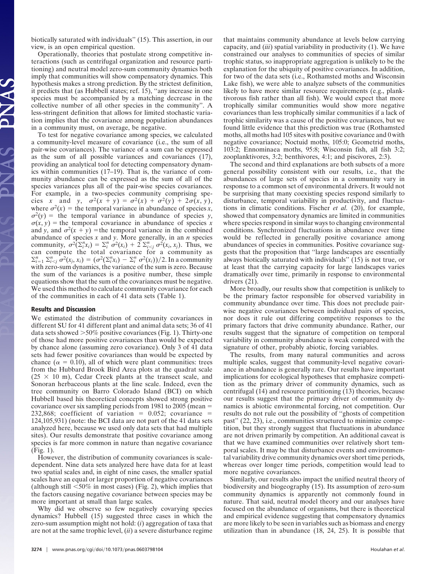biotically saturated with individuals'' (15). This assertion, in our view, is an open empirical question.

Operationally, theories that postulate strong competitive interactions (such as centrifugal organization and resource partitioning) and neutral model zero-sum community dynamics both imply that communities will show compensatory dynamics. This hypothesis makes a strong prediction. By the strictest definition, it predicts that (as Hubbell states; ref. 15), ''any increase in one species must be accompanied by a matching decrease in the collective number of all other species in the community''. A less-stringent definition that allows for limited stochastic variation implies that the covariance among population abundances in a community must, on average, be negative.

To test for negative covariance among species, we calculated a community-level measure of covariance (i.e., the sum of all pair-wise covariances). The variance of a sum can be expressed as the sum of all possible variances and covariances (17), providing an analytical tool for detecting compensatory dynamics within communities (17–19). That is, the variance of community abundance can be expressed as the sum of all of the species variances plus all of the pair-wise species covariances. For example, in a two-species community comprising species *x* and *y*,  $\sigma^2(x + y) = \sigma^2(x) + \sigma^2(y) + 2\sigma(x, y)$ , where  $\sigma^2(x)$  = the temporal variance in abundance of species *x*,  $\sigma^2(y)$  = the temporal variance in abundance of species *y*,  $\sigma(x, y)$  = the temporal covariance in abundance of species *x* and *y*, and  $\sigma^2(x + y)$  = the temporal variance in the combined abundance of species *x* and *y*. More generally, in an *n* species community,  $\sigma^2(\sum_i^n x_i) = \sum_i^n \sigma^2(x_i) + 2 \sum_{i \leq j}^n \sigma^2(x_i, x_j)$ . Thus, we can compute the total covariance for a community as  $\sum_{i=1}^{n} \sum_{i \le j}^{n} \sigma^{2}(x_{j}, x_{i}) = (\sigma^{2}(\sum_{i}^{n} x_{i}) - \sum_{i}^{n} \sigma^{2}(x_{i}))/2$ . In a community with zero-sum dynamics, the variance of the sum is zero. Because the sum of the variances is a positive number, these simple equations show that the sum of the covariances must be negative. We used this method to calculate community covariance for each of the communities in each of 41 data sets (Table 1).

#### **Results and Discussion**

We estimated the distribution of community covariances in different SU for 41 different plant and animal data sets; 36 of 41 data sets showed  $>50\%$  positive covariances (Fig. 1). Thirty-one of those had more positive covariances than would be expected by chance alone (assuming zero covariance). Only 3 of 41 data sets had fewer positive covariances than would be expected by chance ( $\alpha = 0.10$ ), all of which were plant communities: trees from the Hubbard Brook Bird Area plots at the quadrat scale  $(25 \times 10 \text{ m})$ , Cedar Creek plants at the transect scale, and Sonoran herbaceous plants at the line scale. Indeed, even the tree community on Barro Colorado Island (BCI) on which Hubbell based his theoretical concepts showed strong positive covariance over six sampling periods from 1981 to 2005 (mean  $=$  $232,868$ ; coefficient of variation = 0.052; covariance = 124,105,931) (note: the BCI data are not part of the 41 data sets analyzed here, because we used only data sets that had multiple sites). Our results demonstrate that positive covariance among species is far more common in nature than negative covariance (Fig. 1).

However, the distribution of community covariances is scaledependent. Nine data sets analyzed here have data for at least two spatial scales and, in eight of nine cases, the smaller spatial scales have an equal or larger proportion of negative covariances (although still  $\leq 50\%$  in most cases) (Fig. 2), which implies that the factors causing negative covariance between species may be more important at small than large scales.

Why did we observe so few negatively covarying species dynamics? Hubbell (15) suggested three cases in which the zero-sum assumption might not hold: (*i*) aggregation of taxa that are not at the same trophic level, (*ii*) a severe disturbance regime that maintains community abundance at levels below carrying capacity, and (*iii*) spatial variability in productivity (1). We have constrained our analyses to communities of species of similar trophic status, so inappropriate aggregation is unlikely to be the explanation for the ubiquity of positive covariances. In addition, for two of the data sets (i.e., Rothamsted moths and Wisconsin Lake fish), we were able to analyze subsets of the communities likely to have more similar resource requirements (e.g., planktivorous fish rather than all fish). We would expect that more trophically similar communities would show more negative covariances than less trophically similar communities if a lack of trophic similarity was a cause of the positive covariances, but we found little evidence that this prediction was true (Rothamsted moths, all moths had 105 sites with positive covariance and 0 with negative covariance; Noctuid moths, 105:0; Geometrid moths, 103:2; Ennominaea moths, 95:8; Wisconsin fish, all fish 3:2; zooplanktivores, 3:2; benthivores, 4:1; and piscivores, 2:3).

The second and third explanations are both subsets of a more general possibility consistent with our results, i.e., that the abundances of large sets of species in a community vary in response to a common set of environmental drivers. It would not be surprising that many coexisting species respond similarly to disturbance, temporal variability in productivity, and fluctuations in climatic conditions. Fischer *et al.* (20), for example, showed that compensatory dynamics are limited in communities where species respond in similar ways to changing environmental conditions. Synchronized fluctuations in abundance over time would be reflected in generally positive covariance among abundances of species in communities. Positive covariance suggests that the proposition that ''large landscapes are essentially always biotically saturated with individuals'' (15) is not true, or at least that the carrying capacity for large landscapes varies dramatically over time, primarily in response to environmental drivers (21).

More broadly, our results show that competition is unlikely to be the primary factor responsible for observed variability in community abundance over time. This does not preclude pairwise negative covariances between individual pairs of species, nor does it rule out differing competitive responses to the primary factors that drive community abundance. Rather, our results suggest that the signature of competition on temporal variability in community abundance is weak compared with the signature of other, probably abiotic, forcing variables.

The results, from many natural communities and across multiple scales, suggest that community-level negative covariance in abundance is generally rare. Our results have important implications for ecological hypotheses that emphasize competition as the primary driver of community dynamics, such as centrifugal (14) and resource partitioning (13) theories, because our results suggest that the primary driver of community dynamics is abiotic environmental forcing, not competition. Our results do not rule out the possibility of ''ghosts of competition past'' (22, 23), i.e., communities structured to minimize competition, but they strongly suggest that fluctuations in abundance are not driven primarily by competition. An additional caveat is that we have examined communities over relatively short temporal scales. It may be that disturbance events and environmental variability drive community dynamics over short time periods, whereas over longer time periods, competition would lead to more negative covariances.

Similarly, our results also impact the unified neutral theory of biodiversity and biogeography (15). Its assumption of zero-sum community dynamics is apparently not commonly found in nature. That said, neutral model theory and our analyses have focused on the abundance of organisms, but there is theoretical and empirical evidence suggesting that compensatory dynamics are more likely to be seen in variables such as biomass and energy utilization than in abundance (18, 24, 25). It is possible that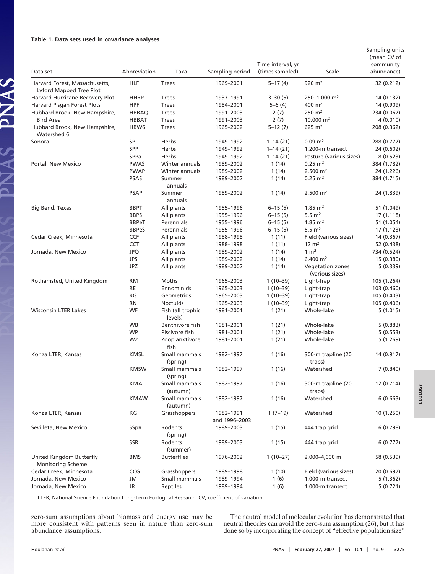## **Table 1. Data sets used in covariance analyses**

PNAS PNAS

|                                                           |              |                              |                            |                                      |                                     | Sampling units          |
|-----------------------------------------------------------|--------------|------------------------------|----------------------------|--------------------------------------|-------------------------------------|-------------------------|
|                                                           |              |                              |                            |                                      |                                     | (mean CV of             |
| Data set                                                  | Abbreviation | Taxa                         | Sampling period            | Time interval, yr<br>(times sampled) | Scale                               | community<br>abundance) |
| Harvard Forest, Massachusetts,<br>Lyford Mapped Tree Plot | <b>HLF</b>   | Trees                        | 1969-2001                  | $5 - 17(4)$                          | $920 \; \text{m}^2$                 | 32 (0.212)              |
| Harvard Hurricane Recovery Plot                           | <b>HHRP</b>  | Trees                        | 1937-1991                  | $3 - 30(5)$                          | 250-1,000 m <sup>2</sup>            | 14 (0.132)              |
| Harvard Pisgah Forest Plots                               | <b>HPF</b>   | Trees                        | 1984-2001                  | 5-6 (4)                              | 400 $m2$                            | 14 (0.909)              |
| Hubbard Brook, New Hampshire,                             | <b>HBBAQ</b> | Trees                        | 1991-2003                  | 2(7)                                 | $250 \; \text{m}^2$                 | 234 (0.067)             |
| <b>Bird Area</b>                                          | <b>HBBAT</b> | <b>Trees</b>                 | 1991-2003                  | 2(7)                                 | 10,000 $ m2$                        | 4(0.010)                |
| Hubbard Brook, New Hampshire,<br>Watershed 6              | HBW6         | Trees                        | 1965-2002                  | $5 - 12(7)$                          | $625 \; \text{m}^2$                 | 208 (0.362)             |
| Sonora                                                    | SPL          | Herbs                        | 1949-1992                  | $1 - 14(21)$                         | $0.09$ m <sup>2</sup>               | 288 (0.777)             |
|                                                           | SPP          | Herbs                        | 1949-1992                  | $1 - 14(21)$                         | 1,200-m transect                    | 24 (0.602)              |
|                                                           | SPPa         | Herbs                        | 1949-1992                  | $1 - 14(21)$                         | Pasture (various sizes)             | 8(0.523)                |
| Portal, New Mexico                                        | <b>PWAS</b>  | Winter annuals               | 1989-2002                  | 1(14)                                | $0.25 \; \text{m}^2$                | 384 (1.782)             |
|                                                           | <b>PWAP</b>  | Winter annuals               | 1989-2002                  | 1(14)                                | $2,500 \text{ m}^2$                 | 24 (1.226)              |
|                                                           | PSAS         | Summer<br>annuals            | 1989-2002                  | 1(14)                                | $0.25 \; \text{m}^2$                | 384 (1.715)             |
|                                                           | <b>PSAP</b>  | Summer<br>annuals            | 1989-2002                  | 1(14)                                | $2,500 \text{ m}^2$                 | 24 (1.839)              |
| Big Bend, Texas                                           | <b>BBPT</b>  | All plants                   | 1955-1996                  | $6 - 15(5)$                          | $1.85 \; \mathrm{m}^2$              | 51 (1.049)              |
|                                                           | <b>BBPS</b>  | All plants                   | 1955-1996                  | $6 - 15(5)$                          | 5.5 m <sup>2</sup>                  | 17 (1.118)              |
|                                                           | <b>BBPeT</b> | Perennials                   | 1955-1996                  | $6 - 15(5)$                          | $1.85 \; \mathrm{m}^2$              | 51 (1.054)              |
|                                                           | <b>BBPeS</b> | Perennials                   | 1955-1996                  | $6 - 15(5)$                          | 5.5 m <sup>2</sup>                  | 17 (1.123)              |
| Cedar Creek, Minnesota                                    | <b>CCF</b>   | All plants                   | 1988-1998                  | 1(11)                                | Field (various sizes)               | 14 (0.367)              |
|                                                           | CCT          | All plants                   | 1988-1998                  | 1(11)                                | $12 \; \text{m}^2$                  | 52 (0.438)              |
| Jornada, New Mexico                                       | <b>JPQ</b>   | All plants                   | 1989-2002                  | 1(14)                                | 1 m <sup>2</sup>                    | 734 (0.524)             |
|                                                           | JPS          | All plants                   | 1989-2002                  | 1(14)                                | $6,400 \; \mathrm{m}^2$             | 15 (0.380)              |
|                                                           | <b>JPZ</b>   | All plants                   | 1989-2002                  | 1(14)                                | Vegetation zones<br>(various sizes) | 5(0.339)                |
| Rothamsted, United Kingdom                                | <b>RM</b>    | Moths                        | 1965-2003                  | $1(10-39)$                           | Light-trap                          | 105 (1.264)             |
|                                                           | RE           | Ennominids                   | 1965-2003                  | $1(10-39)$                           | Light-trap                          | 103 (0.460)             |
|                                                           | RG           | Geometrids                   | 1965-2003                  | $1(10-39)$                           | Light-trap                          | 105 (0.403)             |
|                                                           | <b>RN</b>    | <b>Noctuids</b>              | 1965-2003                  | $1(10-39)$                           | Light-trap                          | 105 (0.406)             |
| <b>Wisconsin LTER Lakes</b>                               | WF           | Fish (all trophic<br>levels) | 1981-2001                  | 1(21)                                | Whole-lake                          | 5(1.015)                |
|                                                           | WB           | Benthivore fish              | 1981-2001                  | 1(21)                                | Whole-lake                          | 5(0.883)                |
|                                                           | <b>WP</b>    | Piscivore fish               | 1981-2001                  | 1(21)                                | Whole-lake                          | 5(0.553)                |
|                                                           | WZ           | Zooplanktivore<br>fish       | 1981-2001                  | 1(21)                                | Whole-lake                          | 5(1.269)                |
| Konza LTER, Kansas                                        | <b>KMSL</b>  | Small mammals<br>(spring)    | 1982-1997                  | 1(16)                                | 300-m trapline (20<br>traps)        | 14 (0.917)              |
|                                                           | <b>KMSW</b>  | Small mammals<br>(spring)    | 1982-1997                  | 1(16)                                | Watershed                           | 7(0.840)                |
|                                                           | <b>KMAL</b>  | Small mammals<br>(autumn)    | 1982-1997                  | 1(16)                                | 300-m trapline (20<br>traps)        | 12 (0.714)              |
|                                                           | <b>KMAW</b>  | Small mammals<br>(autumn)    | 1982-1997                  | 1(16)                                | Watershed                           | 6(0.663)                |
| Konza LTER, Kansas                                        | KG           | Grasshoppers                 | 1982-1991<br>and 1996-2003 | $1(7-19)$                            | Watershed                           | 10 (1.250)              |
| Sevilleta, New Mexico                                     | SSpR         | Rodents<br>(spring)          | 1989-2003                  | 1(15)                                | 444 trap grid                       | 6(0.798)                |
|                                                           | SSR          | Rodents<br>(summer)          | 1989-2003                  | 1(15)                                | 444 trap grid                       | 6(0.777)                |
| United Kingdom Butterfly<br><b>Monitoring Scheme</b>      | <b>BMS</b>   | <b>Butterflies</b>           | 1976-2002                  | $1(10-27)$                           | 2,000-4,000 m                       | 58 (0.539)              |
| Cedar Creek, Minnesota                                    | CCG          | Grasshoppers                 | 1989-1998                  | 1(10)                                | Field (various sizes)               | 20 (0.697)              |
| Jornada, New Mexico                                       | JM           | Small mammals                | 1989-1994                  | 1(6)                                 | 1,000-m transect                    | 5 (1.362)               |
| Jornada, New Mexico                                       | JR           | Reptiles                     | 1989-1994                  | 1(6)                                 | 1,000-m transect                    | 5(0.721)                |

LTER, National Science Foundation Long-Term Ecological Research; CV, coefficient of variation.

zero-sum assumptions about biomass and energy use may be more consistent with patterns seen in nature than zero-sum abundance assumptions.

The neutral model of molecular evolution has demonstrated that neutral theories can avoid the zero-sum assumption (26), but it has done so by incorporating the concept of ''effective population size''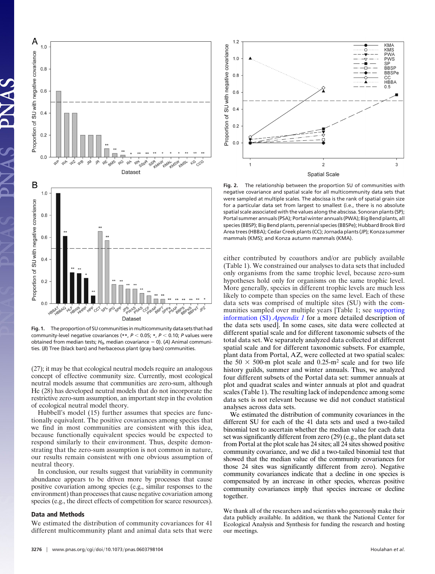

Fig. 1. The proportion of SU communities in multicommunity data sets that had community-level negative covariances (**\*\***, *P* 0.05; **\***, *P* 0.10; *P* values were obtained from median tests; H<sub>0</sub>, median covariance = 0). (A) Animal communities. (*B*) Tree (black bars) and herbaceous plant (gray bars) communities.

(27); it may be that ecological neutral models require an analogous concept of effective community size. Currently, most ecological neutral models assume that communities are zero-sum, although He (28) has developed neutral models that do not incorporate the restrictive zero-sum assumption, an important step in the evolution of ecological neutral model theory.

Hubbell's model (15) further assumes that species are functionally equivalent. The positive covariances among species that we find in most communities are consistent with this idea, because functionally equivalent species would be expected to respond similarly to their environment. Thus, despite demonstrating that the zero-sum assumption is not common in nature, our results remain consistent with one obvious assumption of neutral theory.

In conclusion, our results suggest that variability in community abundance appears to be driven more by processes that cause positive covariation among species (e.g., similar responses to the environment) than processes that cause negative covariation among species (e.g., the direct effects of competition for scarce resources).

### **Data and Methods**

We estimated the distribution of community covariances for 41 different multicommunity plant and animal data sets that were



**Fig. 2.** The relationship between the proportion SU of communities with negative covariance and spatial scale for all multicommunity data sets that were sampled at multiple scales. The abscissa is the rank of spatial grain size for a particular data set from largest to smallest (i.e., there is no absolute spatial scale associated with the values along the abscissa. Sonoran plants (SP); Portal summer annuals (PSA); Portal winter annuals (PWA); Big Bend plants, all species (BBSP); Big Bend plants, perennial species (BBSPe); Hubbard Brook Bird Area trees (HBBA); Cedar Creek plants (CC); Jornada plants (JP); Konza summer mammals (KMS); and Konza autumn mammals (KMA).

either contributed by coauthors and/or are publicly available (Table 1). We constrained our analyses to data sets that included only organisms from the same trophic level, because zero-sum hypotheses hold only for organisms on the same trophic level. More generally, species in different trophic levels are much less likely to compete than species on the same level. Each of these data sets was comprised of multiple sites (SU) with the communities sampled over multiple years [Table 1; see [supporting](http://www.pnas.org/cgi/content/full/0603798104/DC1) [information \(SI\)](http://www.pnas.org/cgi/content/full/0603798104/DC1) *Appendix 1* for a more detailed description of the data sets used]. In some cases, site data were collected at different spatial scale and for different taxonomic subsets of the total data set. We separately analyzed data collected at different spatial scale and for different taxonomic subsets. For example, plant data from Portal, AZ, were collected at two spatial scales: the 50  $\times$  500-m plot scale and 0.25-m<sup>2</sup> scale and for two life history guilds, summer and winter annuals. Thus, we analyzed four different subsets of the Portal data set: summer annuals at plot and quadrat scales and winter annuals at plot and quadrat scales (Table 1). The resulting lack of independence among some data sets is not relevant because we did not conduct statistical analyses across data sets.

We estimated the distribution of community covariances in the different SU for each of the 41 data sets and used a two-tailed binomial test to ascertain whether the median value for each data set was significantly different from zero (29) (e.g., the plant data set from Portal at the plot scale has 24 sites; all 24 sites showed positive community covariance, and we did a two-tailed binomial test that showed that the median value of the community covariances for those 24 sites was significantly different from zero). Negative community covariances indicate that a decline in one species is compensated by an increase in other species, whereas positive community covariances imply that species increase or decline together.

We thank all of the researchers and scientists who generously make their data publicly available. In addition, we thank the National Center for Ecological Analysis and Synthesis for funding the research and hosting our meetings.